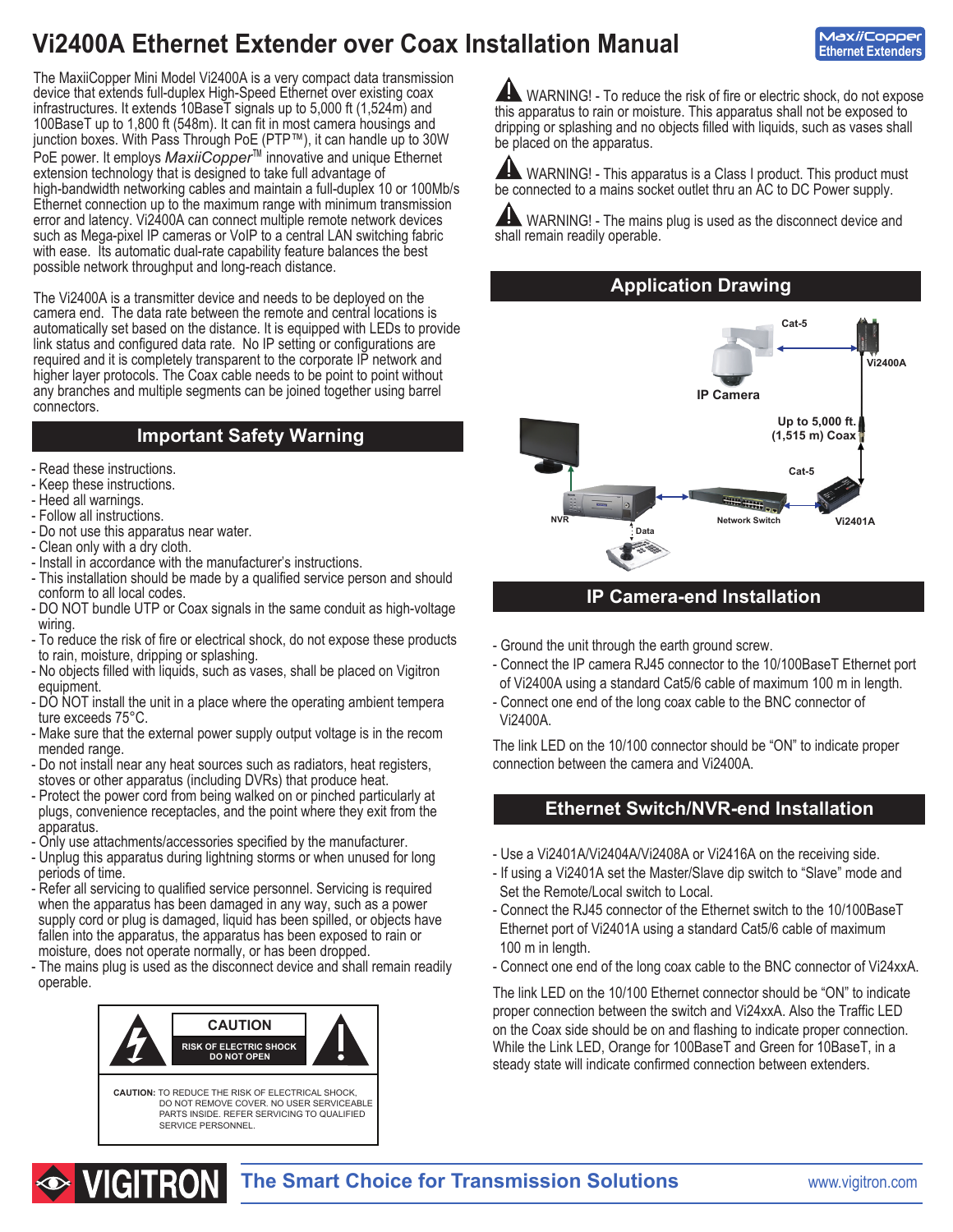# **Vi2400A Ethernet Extender over Coax Installation Manual**

**MaxiiCopper Ethernet Extenders**

The MaxiiCopper Mini Model Vi2400A is a very compact data transmission device that extends full-duplex High-Speed Ethernet over existing coax infrastructures. It extends 10BaseT signals up to 5,000 ft (1,524m) and 100BaseT up to 1,800 ft (548m). It can fit in most camera housings and junction boxes. With Pass Through PoE (PTP™), it can handle up to 30W PoE power. It employs *MaxiiCopper*™ innovative and unique Ethernet extension technology that is designed to take full advantage of high-bandwidth networking cables and maintain a full-duplex 10 or 100Mb/s Ethernet connection up to the maximum range with minimum transmission error and latency. Vi2400A can connect multiple remote network devices such as Mega-pixel IP cameras or VoIP to a central LAN switching fabric with ease. Its automatic dual-rate capability feature balances the best possible network throughput and long-reach distance.

The Vi2400A is a transmitter device and needs to be deployed on the camera end. The data rate between the remote and central locations is automatically set based on the distance. It is equipped with LEDs to provide link status and configured data rate. No IP setting or configurations are required and it is completely transparent to the corporate IP network and higher layer protocols. The Coax cable needs to be point to point without any branches and multiple segments can be joined together using barrel connectors.

# **Important Safety Warning**

- Read these instructions.
- Keep these instructions.
- Heed all warnings.
- Follow all instructions.
- Do not use this apparatus near water.
- Clean only with a dry cloth.
- Install in accordance with the manufacturer's instructions.
- This installation should be made by a qualified service person and should conform to all local codes.
- DO NOT bundle UTP or Coax signals in the same conduit as high-voltage wiring.
- To reduce the risk of fire or electrical shock, do not expose these products to rain, moisture, dripping or splashing.
- No objects filled with liquids, such as vases, shall be placed on Vigitron equipment.
- DO NOT install the unit in a place where the operating ambient tempera ture exceeds 75°C.
- Make sure that the external power supply output voltage is in the recom mended range.
- Do not install near any heat sources such as radiators, heat registers, stoves or other apparatus (including DVRs) that produce heat.
- Protect the power cord from being walked on or pinched particularly at plugs, convenience receptacles, and the point where they exit from the apparatus.
- Only use attachments/accessories specified by the manufacturer.
- Unplug this apparatus during lightning storms or when unused for long periods of time.
- Refer all servicing to qualified service personnel. Servicing is required when the apparatus has been damaged in any way, such as a power supply cord or plug is damaged, liquid has been spilled, or objects have fallen into the apparatus, the apparatus has been exposed to rain or moisture, does not operate normally, or has been dropped.
- The mains plug is used as the disconnect device and shall remain readily operable.



WARNING! - To reduce the risk of fire or electric shock, do not expose this apparatus to rain or moisture. This apparatus shall not be exposed to dripping or splashing and no objects filled with liquids, such as vases shall be placed on the apparatus.

**AN** WARNING! - This apparatus is a Class I product. This product must be connected to a mains socket outlet thru an AC to DC Power supply.

 WARNING! - The mains plug is used as the disconnect device and shall remain readily operable.

**Application Drawing**



# **IP Camera-end Installation**

- Ground the unit through the earth ground screw.
- Connect the IP camera RJ45 connector to the 10/100BaseT Ethernet port of Vi2400A using a standard Cat5/6 cable of maximum 100 m in length.
- Connect one end of the long coax cable to the BNC connector of Vi2400A.

The link LED on the 10/100 connector should be "ON" to indicate proper connection between the camera and Vi2400A.

# **Ethernet Switch/NVR-end Installation**

- Use a Vi2401A/Vi2404A/Vi2408A or Vi2416A on the receiving side.
- If using a Vi2401A set the Master/Slave dip switch to "Slave" mode and Set the Remote/Local switch to Local.
- Connect the RJ45 connector of the Ethernet switch to the 10/100BaseT Ethernet port of Vi2401A using a standard Cat5/6 cable of maximum 100 m in length.
- Connect one end of the long coax cable to the BNC connector of Vi24xxA.

The link LED on the 10/100 Ethernet connector should be "ON" to indicate proper connection between the switch and Vi24xxA. Also the Traffic LED on the Coax side should be on and flashing to indicate proper connection. While the Link LED, Orange for 100BaseT and Green for 10BaseT, in a steady state will indicate confirmed connection between extenders.

# **The Smart Choice for Transmission Solutions www.vigitron.com**